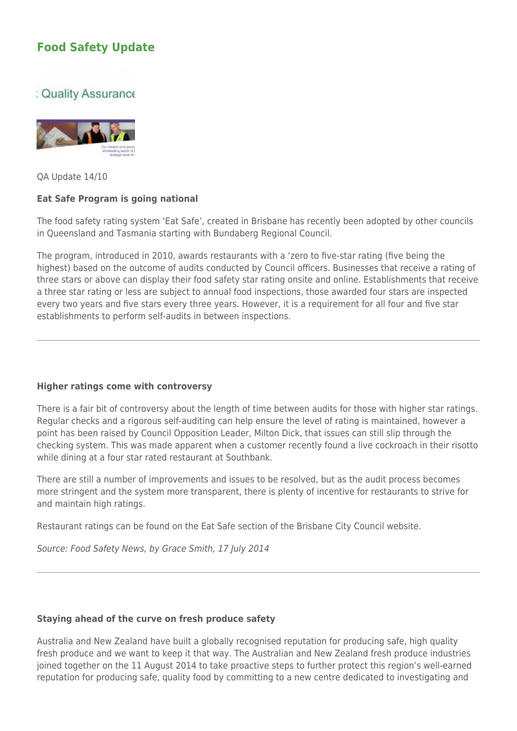# **[Food Safety Update](https://members.brismarkonline.com.au/?p=243)**

## : Quality Assurance



QA Update 14/10

### **Eat Safe Program is going national**

The food safety rating system 'Eat Safe', created in Brisbane has recently been adopted by other councils in Queensland and Tasmania starting with Bundaberg Regional Council.

The program, introduced in 2010, awards restaurants with a 'zero to five-star rating (five being the highest) based on the outcome of audits conducted by Council officers. Businesses that receive a rating of three stars or above can display their food safety star rating onsite and online. Establishments that receive a three star rating or less are subject to annual food inspections, those awarded four stars are inspected every two years and five stars every three years. However, it is a requirement for all four and five star establishments to perform self-audits in between inspections.

#### **Higher ratings come with controversy**

There is a fair bit of controversy about the length of time between audits for those with higher star ratings. Regular checks and a rigorous self-auditing can help ensure the level of rating is maintained, however a point has been raised by Council Opposition Leader, Milton Dick, that issues can still slip through the checking system. This was made apparent when a customer recently found a live cockroach in their risotto while dining at a four star rated restaurant at Southbank.

There are still a number of improvements and issues to be resolved, but as the audit process becomes more stringent and the system more transparent, there is plenty of incentive for restaurants to strive for and maintain high ratings.

Restaurant ratings can be found on the Eat Safe section of the Brisbane City Council website.

Source: Food Safety News, by Grace Smith, 17 July 2014

#### **Staying ahead of the curve on fresh produce safety**

Australia and New Zealand have built a globally recognised reputation for producing safe, high quality fresh produce and we want to keep it that way. The Australian and New Zealand fresh produce industries joined together on the 11 August 2014 to take proactive steps to further protect this region's well-earned reputation for producing safe, quality food by committing to a new centre dedicated to investigating and